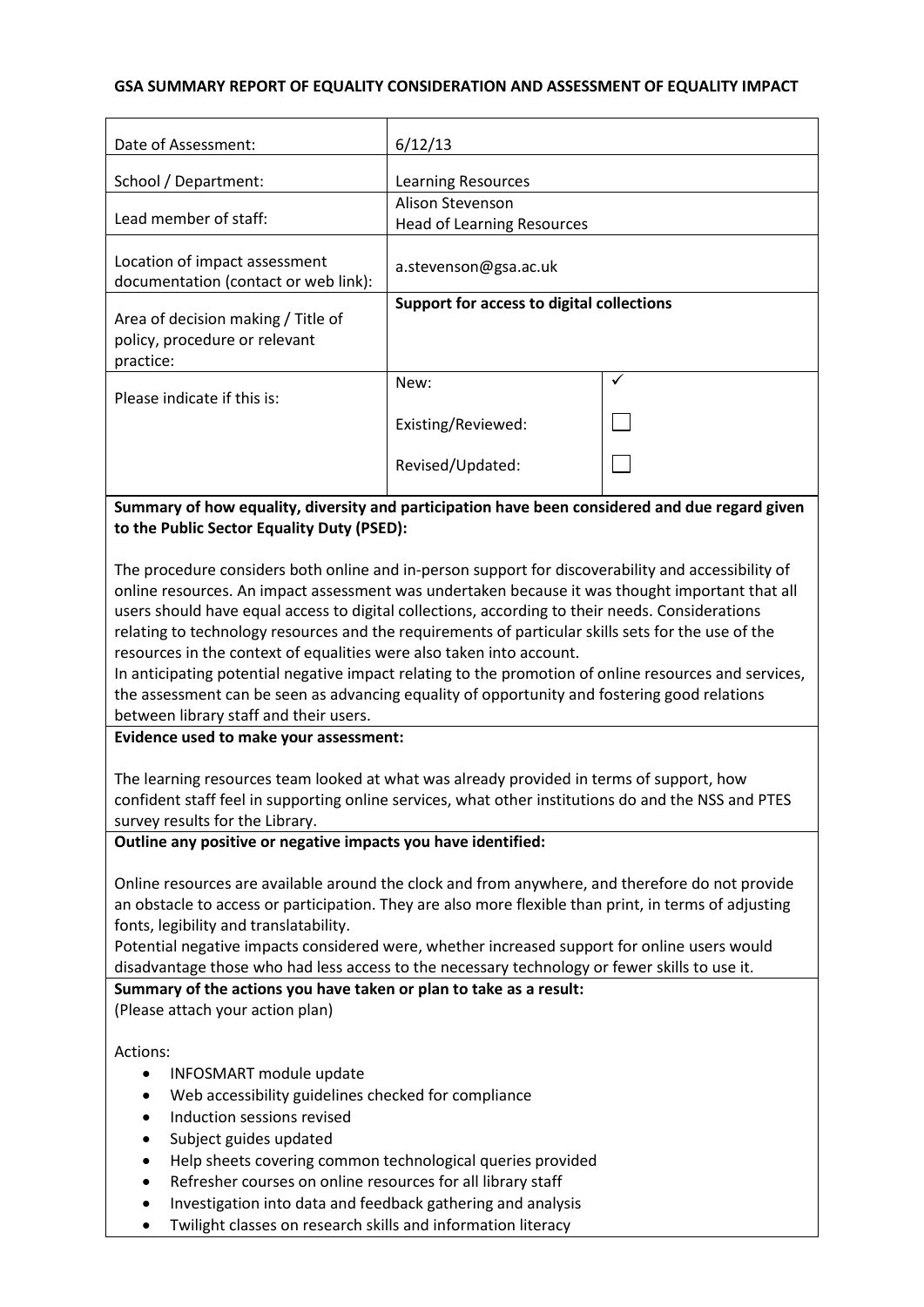### **GSA SUMMARY REPORT OF EQUALITY CONSIDERATION AND ASSESSMENT OF EQUALITY IMPACT**

| Date of Assessment:                                                                                                                                                                                                                                                                                                                                                                                                                                                                                                                                                                                                                                                                                                                       | 6/12/13                                   |   |  |
|-------------------------------------------------------------------------------------------------------------------------------------------------------------------------------------------------------------------------------------------------------------------------------------------------------------------------------------------------------------------------------------------------------------------------------------------------------------------------------------------------------------------------------------------------------------------------------------------------------------------------------------------------------------------------------------------------------------------------------------------|-------------------------------------------|---|--|
| School / Department:                                                                                                                                                                                                                                                                                                                                                                                                                                                                                                                                                                                                                                                                                                                      | <b>Learning Resources</b>                 |   |  |
|                                                                                                                                                                                                                                                                                                                                                                                                                                                                                                                                                                                                                                                                                                                                           | Alison Stevenson                          |   |  |
| Lead member of staff:                                                                                                                                                                                                                                                                                                                                                                                                                                                                                                                                                                                                                                                                                                                     | <b>Head of Learning Resources</b>         |   |  |
| Location of impact assessment<br>documentation (contact or web link):                                                                                                                                                                                                                                                                                                                                                                                                                                                                                                                                                                                                                                                                     | a.stevenson@gsa.ac.uk                     |   |  |
| Area of decision making / Title of<br>policy, procedure or relevant<br>practice:                                                                                                                                                                                                                                                                                                                                                                                                                                                                                                                                                                                                                                                          | Support for access to digital collections |   |  |
| Please indicate if this is:                                                                                                                                                                                                                                                                                                                                                                                                                                                                                                                                                                                                                                                                                                               | New:                                      | ✓ |  |
|                                                                                                                                                                                                                                                                                                                                                                                                                                                                                                                                                                                                                                                                                                                                           | Existing/Reviewed:                        |   |  |
|                                                                                                                                                                                                                                                                                                                                                                                                                                                                                                                                                                                                                                                                                                                                           | Revised/Updated:                          |   |  |
| Summary of how equality, diversity and participation have been considered and due regard given<br>to the Public Sector Equality Duty (PSED):                                                                                                                                                                                                                                                                                                                                                                                                                                                                                                                                                                                              |                                           |   |  |
| The procedure considers both online and in-person support for discoverability and accessibility of<br>online resources. An impact assessment was undertaken because it was thought important that all<br>users should have equal access to digital collections, according to their needs. Considerations<br>relating to technology resources and the requirements of particular skills sets for the use of the<br>resources in the context of equalities were also taken into account.<br>In anticipating potential negative impact relating to the promotion of online resources and services,<br>the assessment can be seen as advancing equality of opportunity and fostering good relations<br>between library staff and their users. |                                           |   |  |
| Evidence used to make your assessment:                                                                                                                                                                                                                                                                                                                                                                                                                                                                                                                                                                                                                                                                                                    |                                           |   |  |
| The learning resources team looked at what was already provided in terms of support, how<br>confident staff feel in supporting online services, what other institutions do and the NSS and PTES<br>survey results for the Library.                                                                                                                                                                                                                                                                                                                                                                                                                                                                                                        |                                           |   |  |
| Outline any positive or negative impacts you have identified:                                                                                                                                                                                                                                                                                                                                                                                                                                                                                                                                                                                                                                                                             |                                           |   |  |
|                                                                                                                                                                                                                                                                                                                                                                                                                                                                                                                                                                                                                                                                                                                                           |                                           |   |  |

Online resources are available around the clock and from anywhere, and therefore do not provide an obstacle to access or participation. They are also more flexible than print, in terms of adjusting fonts, legibility and translatability.

Potential negative impacts considered were, whether increased support for online users would disadvantage those who had less access to the necessary technology or fewer skills to use it.

**Summary of the actions you have taken or plan to take as a result:** (Please attach your action plan)

Actions:

- INFOSMART module update
- Web accessibility guidelines checked for compliance
- Induction sessions revised
- Subject guides updated
- Help sheets covering common technological queries provided
- Refresher courses on online resources for all library staff
- Investigation into data and feedback gathering and analysis
- Twilight classes on research skills and information literacy